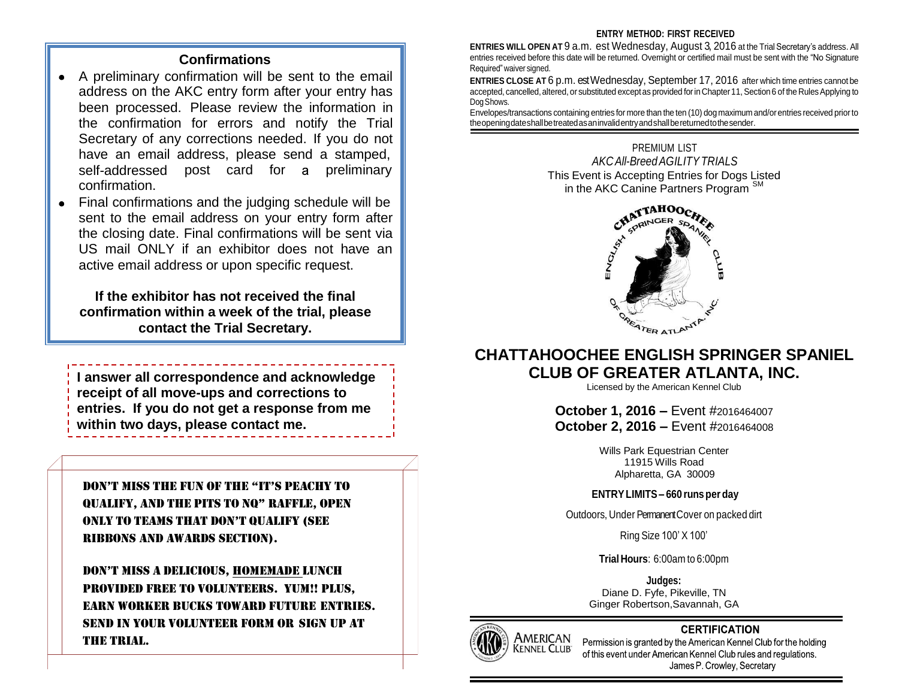# **Confirmations**

- A preliminary confirmation will be sent to the email address on the AKC entry form after your entry has been processed. Please review the information in the confirmation for errors and notify the Trial Secretary of any corrections needed. If you do not have an email address, please send a stamped, self-addressed post card for a preliminary confirmation.
- Final confirmations and the judging schedule will be sent to the email address on your entry form after the closing date. Final confirmations will be sent via US mail ONLY if an exhibitor does not have an active email address or upon specific request.

**If the exhibitor has not received the final confirmation within a week of the trial, please contact the Trial Secretary.**

**I answer all correspondence and acknowledge receipt of all move-ups and corrections to entries. If you do not get a response from me within two days, please contact me.**

Don't miss the fun of the "it's PeAChY to QuALifY, AnD the Pits to nQ" rAffLe, oPen onLY to teAms thAt Don't QuALifY (see Ribbons and Awards Section).

Don't miss A DeLiCious, homemade lunch provided free to volunteers. Yum!! Plus, earn worker bucks toward future entries. Send in your volunteer form or sign up at the trial.

### **ENTRY METHOD: FIRST RECEIVED**

**ENTRIES WILL OPEN AT** 9 a.m. est Wednesday, August 3, 2016 at the Trial Secretary's address. All entries received before this date will be returned. Overnight or certified mail must be sent with the "No Signature Required" waiver signed.

**ENTRIES CLOSE AT** 6 p.m. est Wednesday, September 17, 2016 after which time entries cannot be accepted, cancelled, altered, or substituted except as provided for in Chapter 11, Section 6 of the Rules Applying to Dog Shows.

Envelopes/transactions containing entries for more than the ten (10) dog maximum and/orentries received priorto theopeningdateshallbetreatedasaninvalidentryandshallbereturnedtothesender.

> PREMIUM LIST *AKCAll-BreedAGILITYTRIALS* This Event is Accepting Entries for Dogs Listed in the AKC Canine Partners Program<sup>s</sup>



# **CHATTAHOOCHEE ENGLISH SPRINGER SPANIEL CLUB OF GREATER ATLANTA, INC.**

Licensed by the American Kennel Club

**October 1, 2016 –** Event #2016464007 **October 2, 2016 –** Event #2016464008

> Wills Park Equestrian Center 11915 Wills Road Alpharetta, GA 30009

## **ENTRYLIMITS– 660 runsper day**

Outdoors, Under Permanent Cover on packed dirt

Ring Size 100' X 100'

**Trial Hours**: 6:00am to 6:00pm

Diane D. Fyfe, Pikeville, TN Ginger Robertson,Savannah, GA **Judges:**



# **CERTIFICATION**

Permission is granted by the American Kennel Club for the holding of this event under American Kennel Club rules and regulations. James P. Crowley, Secretary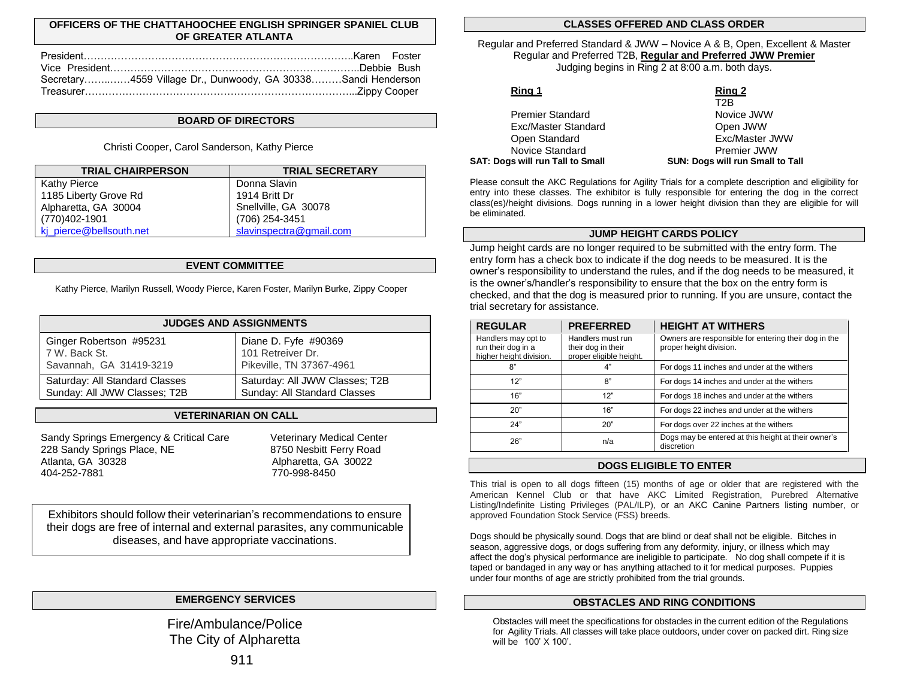### **OFFICERS OF THE CHATTAHOOCHEE ENGLISH SPRINGER SPANIEL CLUB OF GREATER ATLANTA**

| Secretary4559 Village Dr., Dunwoody, GA 30338Sandi Henderson |  |
|--------------------------------------------------------------|--|
|                                                              |  |

#### **BOARD OF DIRECTORS**

Christi Cooper, Carol Sanderson, Kathy Pierce

| <b>TRIAL CHAIRPERSON</b> | <b>TRIAL SECRETARY</b>  |
|--------------------------|-------------------------|
| Kathy Pierce             | Donna Slavin            |
| 1185 Liberty Grove Rd    | 1914 Britt Dr           |
| Alpharetta, GA 30004     | Snellville, GA 30078    |
| (770)402-1901            | (706) 254-3451          |
| kj_pierce@bellsouth.net  | slavinspectra@gmail.com |

#### **EVENT COMMITTEE**

Kathy Pierce, Marilyn Russell, Woody Pierce, Karen Foster, Marilyn Burke, Zippy Cooper

|                                | <b>JUDGES AND ASSIGNMENTS</b>  |
|--------------------------------|--------------------------------|
| Ginger Robertson #95231        | Diane D. Fyfe #90369           |
| 7 W. Back St.                  | 101 Retreiver Dr.              |
| Savannah, GA 31419-3219        | Pikeville, TN 37367-4961       |
| Saturday: All Standard Classes | Saturday: All JWW Classes; T2B |
| Sunday: All JWW Classes; T2B   | Sunday: All Standard Classes   |

#### **VETERINARIAN ON CALL**

Sandy Springs Emergency & Critical Care Veterinary Medical Center 228 Sandy Springs Place, NE 8750 Nesbitt Ferry Road Atlanta, GA 30328 Alpharetta, GA 30022 404-252-7881 770-998-8450

Exhibitors should follow their veterinarian's recommendations to ensure their dogs are free of internal and external parasites, any communicable diseases, and have appropriate vaccinations.

# Fire/Ambulance/Police The City of Alpharetta

#### **CLASSES OFFERED AND CLASS ORDER**

Regular and Preferred Standard & JWW – Novice A & B, Open, Excellent & Master Regular and Preferred T2B, **Regular and Preferred JWW Premier** Judging begins in Ring 2 at 8:00 a.m. both days.

### **Ring 1 Ring 2**

| SAT: Dogs will run Tall to Small | SUN: Dogs will run Small to Tall |
|----------------------------------|----------------------------------|
| Novice Standard                  | Premier JWW                      |
| Open Standard                    | Exc/Master JWW                   |
| Exc/Master Standard              | Open JWW                         |
| <b>Premier Standard</b>          | Novice JWW                       |
|                                  | .                                |

T2B Novice JWW Open JWW Exc/Master JWW Premier JWW

Please consult the AKC Regulations for Agility Trials for a complete description and eligibility for entry into these classes. The exhibitor is fully responsible for entering the dog in the correct class(es)/height divisions. Dogs running in a lower height division than they are eligible for will be eliminated.

#### **JUMP HEIGHT CARDS POLICY**

Jump height cards are no longer required to be submitted with the entry form. The entry form has a check box to indicate if the dog needs to be measured. It is the owner's responsibility to understand the rules, and if the dog needs to be measured, it is the owner's/handler's responsibility to ensure that the box on the entry form is checked, and that the dog is measured prior to running. If you are unsure, contact the trial secretary for assistance.

| <b>REGULAR</b>                                                       | <b>PREFERRED</b>                                                   | <b>HEIGHT AT WITHERS</b>                                                        |
|----------------------------------------------------------------------|--------------------------------------------------------------------|---------------------------------------------------------------------------------|
| Handlers may opt to<br>run their dog in a<br>higher height division. | Handlers must run<br>their dog in their<br>proper eligible height. | Owners are responsible for entering their dog in the<br>proper height division. |
| 8"                                                                   | 4"                                                                 | For dogs 11 inches and under at the withers                                     |
| 12"                                                                  | 8"                                                                 | For dogs 14 inches and under at the withers                                     |
| 16"                                                                  | 12"                                                                | For dogs 18 inches and under at the withers                                     |
| 20"                                                                  | 16"                                                                | For dogs 22 inches and under at the withers                                     |
| 24"                                                                  | 20"                                                                | For dogs over 22 inches at the withers                                          |
| 26"                                                                  | n/a                                                                | Dogs may be entered at this height at their owner's<br>discretion               |

#### **DOGS ELIGIBLE TO ENTER**

This trial is open to all dogs fifteen (15) months of age or older that are registered with the American Kennel Club or that have AKC Limited Registration, Purebred Alternative Listing/Indefinite Listing Privileges (PAL/ILP), or an AKC Canine Partners listing number, or approved Foundation Stock Service (FSS) breeds.

Dogs should be physically sound. Dogs that are blind or deaf shall not be eligible. Bitches in season, aggressive dogs, or dogs suffering from any deformity, injury, or illness which may affect the dog's physical performance are ineligible to participate. No dog shall compete if it is taped or bandaged in any way or has anything attached to it for medical purposes. Puppies under four months of age are strictly prohibited from the trial grounds.

# **EMERGENCY SERVICES OBSTACLES AND RING CONDITIONS**

Obstacles will meet the specifications for obstacles in the current edition of the Regulations for Agility Trials. All classes will take place outdoors, under cover on packed dirt. Ring size will be 100' X 100'.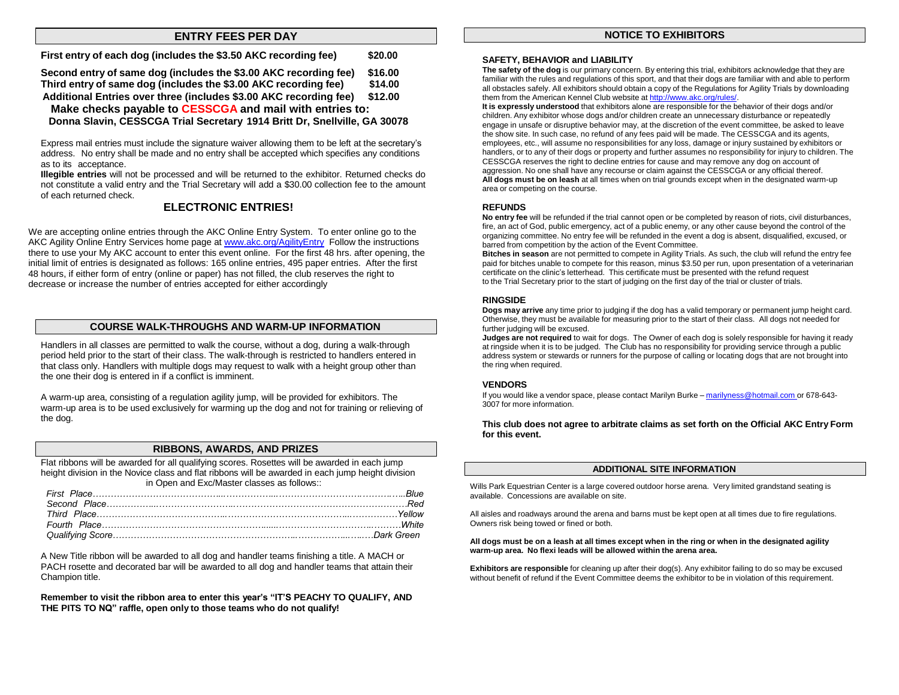### **ENTRY FEES PER DAY NOTICE TO EXHIBITORS**

| First entry of each dog (includes the \$3.50 AKC recording fee)   | \$20.00 |
|-------------------------------------------------------------------|---------|
| Second entry of same dog (includes the \$3.00 AKC recording fee)  | \$16.00 |
| Third entry of same dog (includes the \$3.00 AKC recording fee)   | \$14.00 |
| Additional Entries over three (includes \$3.00 AKC recording fee) | \$12.00 |
| Make checks payable to CESSCGA and mail with entries to:          |         |

**Donna Slavin, CESSCGA Trial Secretary 1914 Britt Dr, Snellville, GA 30078**

Express mail entries must include the signature waiver allowing them to be left at the secretary's address. No entry shall be made and no entry shall be accepted which specifies any conditions as to its acceptance.

**Illegible entries** will not be processed and will be returned to the exhibitor. Returned checks do not constitute a valid entry and the Trial Secretary will add a \$30.00 collection fee to the amount of each returned check.

#### **ELECTRONIC ENTRIES!**

We are accepting online entries through the AKC Online Entry System. To enter online go to the AKC Agility Online Entry Services home page a[t www.akc.org/AgilityEntry](http://www.akc.org/AgilityEntry) Follow the instructions there to use your My AKC account to enter this event online. For the first 48 hrs. after opening, the initial limit of entries is designated as follows: 165 online entries, 495 paper entries. After the first 48 hours, if either form of entry (online or paper) has not filled, the club reserves the right to decrease or increase the number of entries accepted for either accordingly

#### **COURSE WALK-THROUGHS AND WARM-UP INFORMATION**

Handlers in all classes are permitted to walk the course, without a dog, during a walk-through period held prior to the start of their class. The walk-through is restricted to handlers entered in that class only. Handlers with multiple dogs may request to walk with a height group other than the one their dog is entered in if a conflict is imminent.

A warm-up area, consisting of a regulation agility jump, will be provided for exhibitors. The warm-up area is to be used exclusively for warming up the dog and not for training or relieving of the dog.

#### **RIBBONS, AWARDS, AND PRIZES**

Flat ribbons will be awarded for all qualifying scores. Rosettes will be awarded in each jump height division in the Novice class and flat ribbons will be awarded in each jump height division in Open and Exc/Master classes as follows::

A New Title ribbon will be awarded to all dog and handler teams finishing a title. A MACH or PACH rosette and decorated bar will be awarded to all dog and handler teams that attain their Champion title.

**Remember to visit the ribbon area to enter this year's "IT'S PEACHY TO QUALIFY, AND THE PITS TO NQ" raffle, open only to those teams who do not qualify!**

#### **SAFETY, BEHAVIOR and LIABILITY**

**The safety of the dog** is our primary concern. By entering this trial, exhibitors acknowledge that they are familiar with the rules and regulations of this sport, and that their dogs are familiar with and able to perform all obstacles safely. All exhibitors should obtain a copy of the Regulations for Agility Trials by downloading them from the American Kennel Club website at [http://www.akc.org/rules/.](http://www.akc.org/rules/)

**It is expressly understood** that exhibitors alone are responsible for the behavior of their dogs and/or children. Any exhibitor whose dogs and/or children create an unnecessary disturbance or repeatedly engage in unsafe or disruptive behavior may, at the discretion of the event committee, be asked to leave the show site. In such case, no refund of any fees paid will be made. The CESSCGA and its agents, employees, etc., will assume no responsibilities for any loss, damage or injury sustained by exhibitors or handlers, or to any of their dogs or property and further assumes no responsibility for injury to children. The CESSCGA reserves the right to decline entries for cause and may remove any dog on account of aggression. No one shall have any recourse or claim against the CESSCGA or any official thereof. **All dogs must be on leash** at all times when on trial grounds except when in the designated warm-up area or competing on the course.

#### **REFUNDS**

**No entry fee** will be refunded if the trial cannot open or be completed by reason of riots, civil disturbances, fire, an act of God, public emergency, act of a public enemy, or any other cause beyond the control of the organizing committee. No entry fee will be refunded in the event a dog is absent, disqualified, excused, or barred from competition by the action of the Event Committee.

**Bitches in season** are not permitted to compete in Agility Trials. As such, the club will refund the entry fee paid for bitches unable to compete for this reason, minus \$3.50 per run, upon presentation of a veterinarian certificate on the clinic's letterhead. This certificate must be presented with the refund request to the Trial Secretary prior to the start of judging on the first day of the trial or cluster of trials.

#### **RINGSIDE**

**Dogs may arrive** any time prior to judging if the dog has a valid temporary or permanent jump height card. Otherwise, they must be available for measuring prior to the start of their class. All dogs not needed for further judging will be excused.

**Judges are not required** to wait for dogs. The Owner of each dog is solely responsible for having it ready at ringside when it is to be judged. The Club has no responsibility for providing service through a public address system or stewards or runners for the purpose of calling or locating dogs that are not brought into the ring when required.

#### **VENDORS**

If you would like a vendor space, please contact Marilyn Burke – [marilyness@hotmail.com](mailto:marilyness@hotmail.com) or 678-643-3007 for more information.

#### **This club does not agree to arbitrate claims as set forth on the Official AKC Entry Form for this event.**

#### **ADDITIONAL SITE INFORMATION**

Wills Park Equestrian Center is a large covered outdoor horse arena. Very limited grandstand seating is available. Concessions are available on site.

All aisles and roadways around the arena and barns must be kept open at all times due to fire regulations. Owners risk being towed or fined or both.

#### All dogs must be on a leash at all times except when in the ring or when in the designated agility **warm-up area. No flexi leads will be allowed within the arena area.**

**Exhibitors are responsible** for cleaning up after their dog(s). Any exhibitor failing to do so may be excused without benefit of refund if the Event Committee deems the exhibitor to be in violation of this requirement.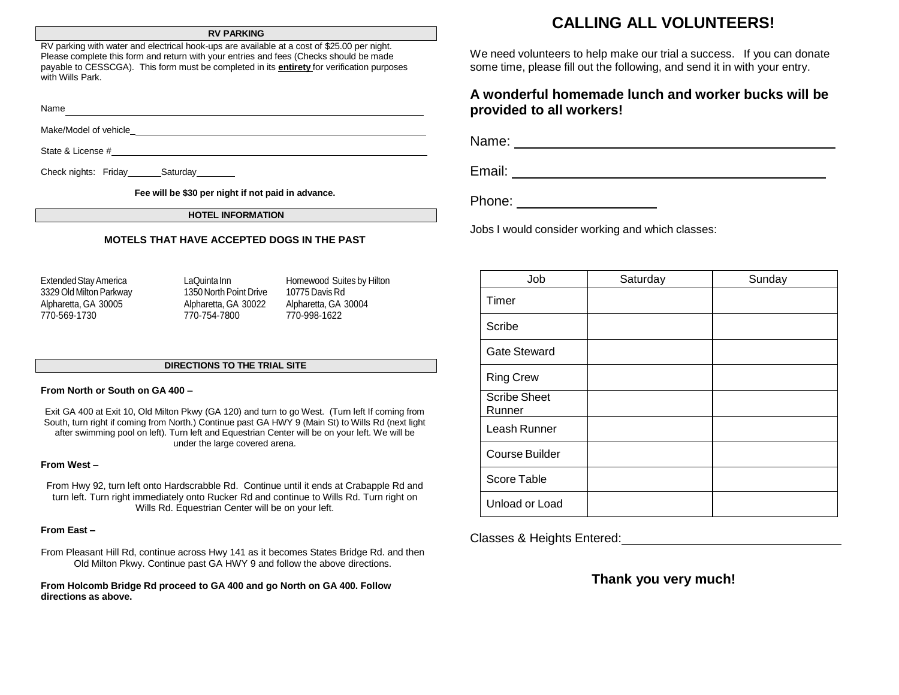#### **RV PARKING**

RV parking with water and electrical hook-ups are available at a cost of \$25.00 per night. Please complete this form and return with your entries and fees (Checks should be made payable to CESSCGA). This form must be completed in its **entirety** for verification purposes with Wills Park.

Name Make/Model of vehicle\_

State & License #  $\qquad \qquad$ 

Check nights: Friday Saturday

**Fee will be \$30 per night if not paid in advance.**

**HOTEL INFORMATION**

#### **MOTELS THAT HAVE ACCEPTED DOGS IN THE PAST**

3329 Old Milton Parkway 1350 NorthPoint Drive 10775 Davis Rd Alpharetta, GA 30005 Alpharetta, GA 30022 Alpharetta, GA 30004 770-569-1730 770-754-7800 770-998-1622

Extended Stay America **LaQuintaInn** Homewood Suites by Hilton

#### **DIRECTIONS TO THE TRIAL SITE**

#### **From North or South on GA 400 –**

Exit GA 400 at Exit 10, Old Milton Pkwy (GA 120) and turn to go West. (Turn left If coming from South, turn right if coming from North.) Continue past GA HWY 9 (Main St) to Wills Rd (next light after swimming pool on left). Turn left and Equestrian Center will be on your left. We will be under the large covered arena.

#### **From West –**

From Hwy 92, turn left onto Hardscrabble Rd. Continue until it ends at Crabapple Rd and turn left. Turn right immediately onto Rucker Rd and continue to Wills Rd. Turn right on Wills Rd. Equestrian Center will be on your left.

#### **From East –**

From Pleasant Hill Rd, continue across Hwy 141 as it becomes States Bridge Rd. and then Old Milton Pkwy. Continue past GA HWY 9 and follow the above directions.

**From Holcomb Bridge Rd proceed to GA 400 and go North on GA 400. Follow directions as above.**

# **CALLING ALL VOLUNTEERS!**

We need volunteers to help make our trial a success. If you can donate some time, please fill out the following, and send it in with your entry.

# **A wonderful homemade lunch and worker bucks will be provided to all workers!**

Name:

Email:

Phone: **Example 2019** 

Jobs I would consider working and which classes:

| Job                           | Saturday | Sunday |
|-------------------------------|----------|--------|
| Timer                         |          |        |
| Scribe                        |          |        |
| <b>Gate Steward</b>           |          |        |
| <b>Ring Crew</b>              |          |        |
| <b>Scribe Sheet</b><br>Runner |          |        |
| Leash Runner                  |          |        |
| <b>Course Builder</b>         |          |        |
| Score Table                   |          |        |
| Unload or Load                |          |        |

Classes & Heights Entered:

# **Thank you very much!**